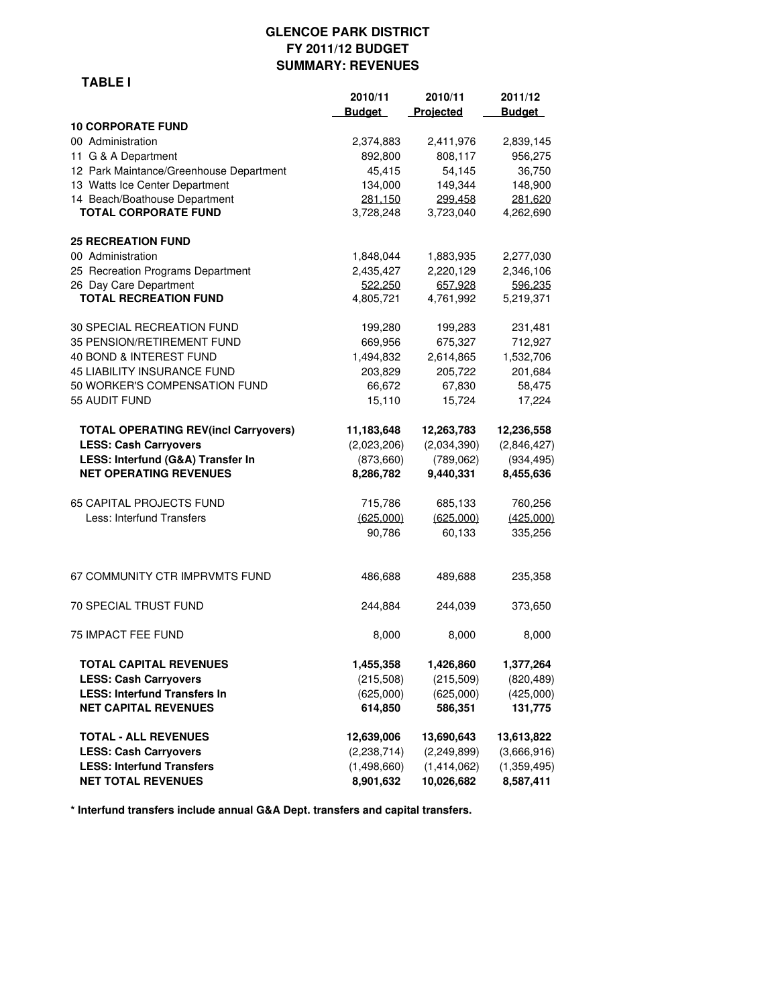#### **GLENCOE PARK DISTRICT FY 2011/12 BUDGET SUMMARY: REVENUES**

|                                             | 2010/11       | 2010/11     | 2011/12       |
|---------------------------------------------|---------------|-------------|---------------|
|                                             | <b>Budget</b> | Projected   | <b>Budget</b> |
| <b>10 CORPORATE FUND</b>                    |               |             |               |
| 00 Administration                           | 2,374,883     | 2,411,976   | 2,839,145     |
| 11 G & A Department                         | 892,800       | 808,117     | 956,275       |
| 12 Park Maintance/Greenhouse Department     | 45,415        | 54,145      | 36,750        |
| 13 Watts Ice Center Department              | 134,000       | 149,344     | 148,900       |
| 14 Beach/Boathouse Department               | 281,150       | 299,458     | 281,620       |
| <b>TOTAL CORPORATE FUND</b>                 | 3,728,248     | 3,723,040   | 4,262,690     |
| <b>25 RECREATION FUND</b>                   |               |             |               |
| 00 Administration                           | 1,848,044     | 1,883,935   | 2,277,030     |
| 25 Recreation Programs Department           | 2,435,427     | 2,220,129   | 2,346,106     |
| 26 Day Care Department                      | 522,250       | 657,928     | 596,235       |
| <b>TOTAL RECREATION FUND</b>                | 4,805,721     | 4,761,992   | 5,219,371     |
| 30 SPECIAL RECREATION FUND                  | 199,280       | 199,283     | 231,481       |
| 35 PENSION/RETIREMENT FUND                  | 669,956       | 675,327     | 712,927       |
| 40 BOND & INTEREST FUND                     | 1,494,832     | 2,614,865   | 1,532,706     |
| 45 LIABILITY INSURANCE FUND                 | 203,829       | 205,722     | 201,684       |
| 50 WORKER'S COMPENSATION FUND               | 66,672        | 67,830      | 58,475        |
| 55 AUDIT FUND                               | 15,110        | 15,724      | 17,224        |
| <b>TOTAL OPERATING REV(incl Carryovers)</b> | 11,183,648    | 12,263,783  | 12,236,558    |
| <b>LESS: Cash Carryovers</b>                | (2,023,206)   | (2,034,390) | (2,846,427)   |
| LESS: Interfund (G&A) Transfer In           | (873, 660)    | (789,062)   | (934, 495)    |
| <b>NET OPERATING REVENUES</b>               | 8,286,782     | 9,440,331   | 8,455,636     |
| 65 CAPITAL PROJECTS FUND                    | 715,786       | 685,133     | 760,256       |
| Less: Interfund Transfers                   | (625,000)     | (625,000)   | (425,000)     |
|                                             | 90,786        | 60,133      | 335,256       |
| 67 COMMUNITY CTR IMPRVMTS FUND              | 486,688       | 489,688     | 235,358       |
| 70 SPECIAL TRUST FUND                       | 244,884       | 244,039     | 373,650       |
| 75 IMPACT FEE FUND                          | 8,000         | 8,000       | 8,000         |
| TOTAL CAPITAL REVENUES                      | 1,455,358     | 1,426,860   | 1,377,264     |
| <b>LESS: Cash Carryovers</b>                | (215,508)     | (215,509)   | (820, 489)    |
| <b>LESS: Interfund Transfers In</b>         | (625,000)     | (625,000)   | (425,000)     |
| <b>NET CAPITAL REVENUES</b>                 | 614,850       | 586,351     | 131,775       |
| <b>TOTAL - ALL REVENUES</b>                 | 12,639,006    | 13,690,643  | 13,613,822    |
| <b>LESS: Cash Carryovers</b>                | (2,238,714)   | (2,249,899) | (3,666,916)   |
| <b>LESS: Interfund Transfers</b>            | (1,498,660)   | (1,414,062) | (1,359,495)   |
| <b>NET TOTAL REVENUES</b>                   | 8,901,632     | 10,026,682  | 8,587,411     |

**\* Interfund transfers include annual G&A Dept. transfers and capital transfers.**

#### **TABLE I**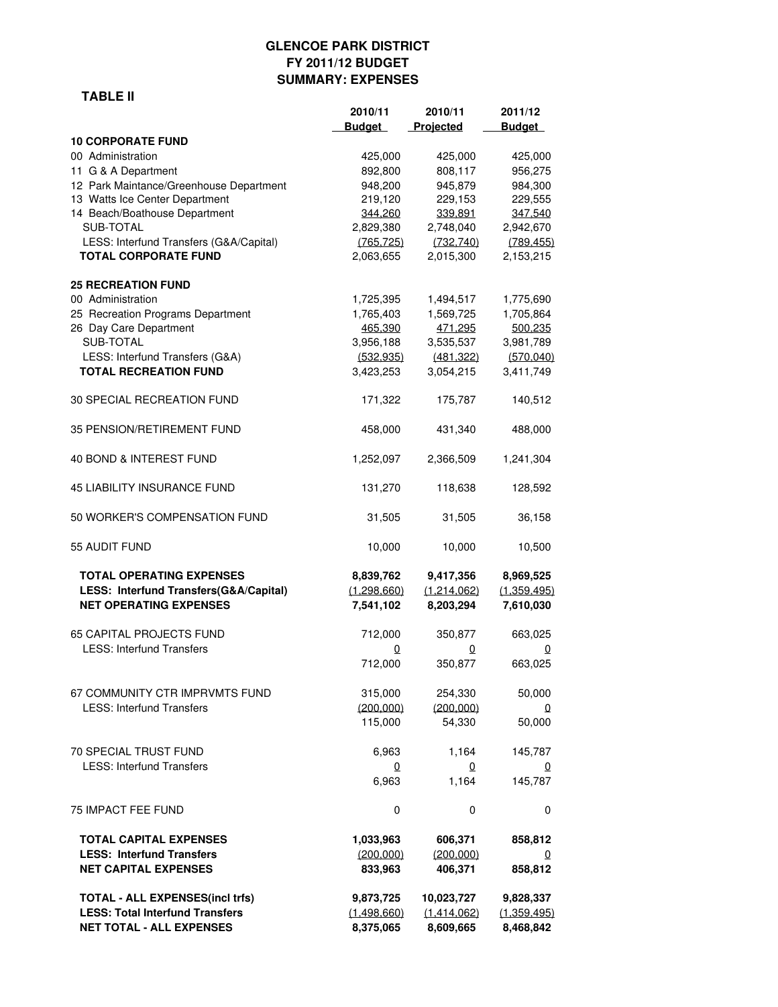# **GLENCOE PARK DISTRICT FY 2011/12 BUDGET SUMMARY: EXPENSES**

#### **TABLE II**

|                                                                                                                     | 2010/11<br><b>Budget</b>              | 2010/11<br>Projected                   | 2011/12<br><b>Budget</b>              |
|---------------------------------------------------------------------------------------------------------------------|---------------------------------------|----------------------------------------|---------------------------------------|
| <b>10 CORPORATE FUND</b>                                                                                            |                                       |                                        |                                       |
| 00 Administration                                                                                                   | 425,000                               | 425,000                                | 425,000                               |
| 11 G & A Department                                                                                                 | 892,800                               | 808,117                                | 956,275                               |
| 12 Park Maintance/Greenhouse Department                                                                             | 948,200                               | 945,879                                | 984,300                               |
| 13 Watts Ice Center Department                                                                                      | 219,120                               | 229,153                                | 229,555                               |
| 14 Beach/Boathouse Department                                                                                       | 344.260                               | 339.891                                | 347,540                               |
| SUB-TOTAL                                                                                                           | 2,829,380                             | 2,748,040                              | 2,942,670                             |
| LESS: Interfund Transfers (G&A/Capital)<br><b>TOTAL CORPORATE FUND</b>                                              | (765, 725)<br>2,063,655               | (732, 740)<br>2,015,300                | (789, 455)<br>2,153,215               |
| <b>25 RECREATION FUND</b>                                                                                           |                                       |                                        |                                       |
| 00 Administration                                                                                                   | 1,725,395                             | 1,494,517                              | 1,775,690                             |
| 25 Recreation Programs Department                                                                                   | 1,765,403                             | 1,569,725                              | 1,705,864                             |
| 26 Day Care Department                                                                                              | 465.390                               | 471.295                                | 500.235                               |
| SUB-TOTAL                                                                                                           | 3,956,188                             | 3,535,537                              | 3,981,789                             |
| LESS: Interfund Transfers (G&A)                                                                                     | (532.935)                             | (481, 322)                             | (570, 040)                            |
| <b>TOTAL RECREATION FUND</b>                                                                                        | 3,423,253                             | 3,054,215                              | 3,411,749                             |
| <b>30 SPECIAL RECREATION FUND</b>                                                                                   | 171,322                               | 175,787                                | 140,512                               |
| 35 PENSION/RETIREMENT FUND                                                                                          | 458,000                               | 431,340                                | 488,000                               |
| 40 BOND & INTEREST FUND                                                                                             | 1,252,097                             | 2,366,509                              | 1,241,304                             |
| <b>45 LIABILITY INSURANCE FUND</b>                                                                                  | 131,270                               | 118,638                                | 128,592                               |
| 50 WORKER'S COMPENSATION FUND                                                                                       | 31,505                                | 31,505                                 | 36,158                                |
| 55 AUDIT FUND                                                                                                       | 10,000                                | 10,000                                 | 10,500                                |
| <b>TOTAL OPERATING EXPENSES</b><br>LESS: Interfund Transfers(G&A/Capital)<br><b>NET OPERATING EXPENSES</b>          | 8,839,762<br>(1,298,660)<br>7,541,102 | 9,417,356<br>(1,214,062)<br>8,203,294  | 8,969,525<br>(1,359,495)<br>7,610,030 |
|                                                                                                                     |                                       |                                        |                                       |
| <b>65 CAPITAL PROJECTS FUND</b>                                                                                     | 712,000                               | 350,877                                | 663,025                               |
| <b>LESS: Interfund Transfers</b>                                                                                    | 0<br>712,000                          | 0<br>350,877                           | 0<br>663,025                          |
|                                                                                                                     |                                       |                                        |                                       |
| 67 COMMUNITY CTR IMPRVMTS FUND                                                                                      | 315,000                               | 254,330                                | 50,000                                |
| <b>LESS: Interfund Transfers</b>                                                                                    | (200,000)                             | (200,000)                              | $\Omega$                              |
|                                                                                                                     | 115,000                               | 54,330                                 | 50,000                                |
| <b>70 SPECIAL TRUST FUND</b>                                                                                        | 6,963                                 | 1,164                                  | 145,787                               |
| <b>LESS: Interfund Transfers</b>                                                                                    | $\overline{0}$                        | $\Omega$                               | $\Omega$                              |
|                                                                                                                     | 6,963                                 | 1,164                                  | 145,787                               |
| 75 IMPACT FEE FUND                                                                                                  | 0                                     | 0                                      | 0                                     |
| TOTAL CAPITAL EXPENSES                                                                                              | 1,033,963                             | 606,371                                | 858,812                               |
| <b>LESS: Interfund Transfers</b><br><b>NET CAPITAL EXPENSES</b>                                                     | (200.000)<br>833,963                  | (200.000)<br>406,371                   | 0<br>858,812                          |
| <b>TOTAL - ALL EXPENSES(incl trfs)</b><br><b>LESS: Total Interfund Transfers</b><br><b>NET TOTAL - ALL EXPENSES</b> | 9,873,725<br>(1,498,660)<br>8,375,065 | 10,023,727<br>(1,414,062)<br>8,609,665 | 9,828,337<br>(1,359,495)<br>8,468,842 |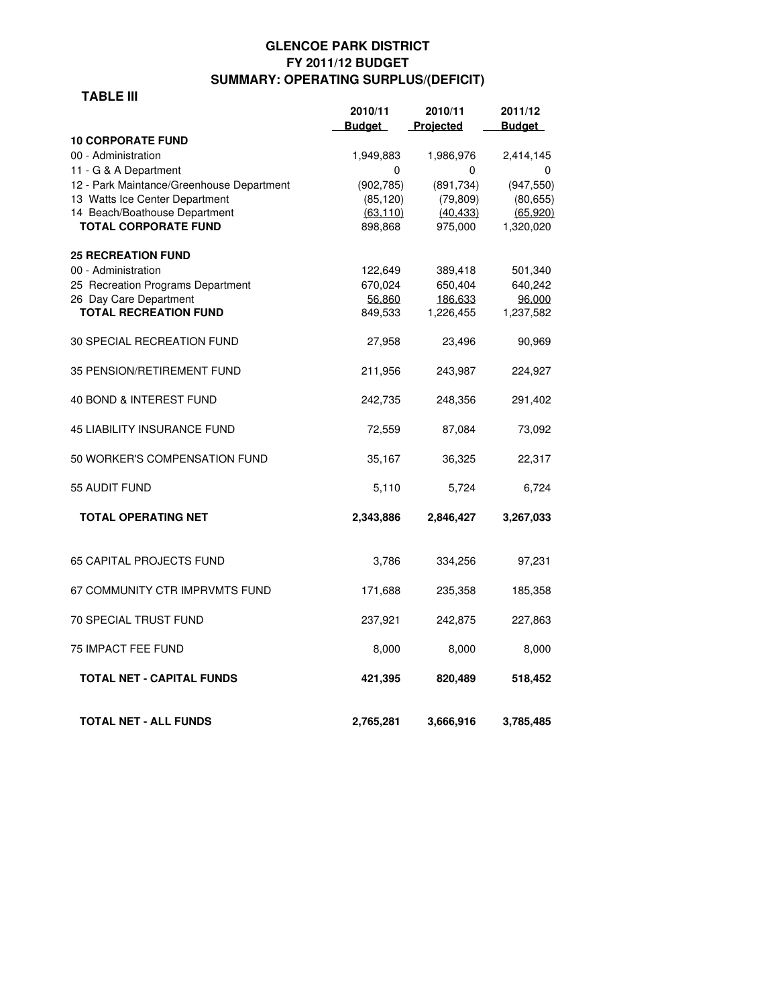## **GLENCOE PARK DISTRICT FY 2011/12 BUDGET SUMMARY: OPERATING SURPLUS/(DEFICIT)**

#### **TABLE III**

|                                                              | 2010/11              | 2010/11              | 2011/12                |
|--------------------------------------------------------------|----------------------|----------------------|------------------------|
|                                                              | <b>Budget</b>        | Projected            | <b>Budget</b>          |
| <b>10 CORPORATE FUND</b>                                     |                      |                      |                        |
| 00 - Administration                                          | 1,949,883            | 1,986,976            | 2,414,145              |
| 11 - G & A Department                                        | 0                    | 0                    | 0                      |
| 12 - Park Maintance/Greenhouse Department                    | (902, 785)           | (891,734)            | (947, 550)             |
| 13 Watts Ice Center Department                               | (85, 120)            | (79, 809)            | (80, 655)              |
| 14 Beach/Boathouse Department<br><b>TOTAL CORPORATE FUND</b> | (63, 110)<br>898,868 | (40, 433)<br>975,000 | (65, 920)<br>1,320,020 |
|                                                              |                      |                      |                        |
| <b>25 RECREATION FUND</b>                                    |                      |                      |                        |
| 00 - Administration                                          | 122,649              | 389,418              | 501,340                |
| 25 Recreation Programs Department                            | 670,024              | 650,404              | 640,242                |
| 26 Day Care Department                                       | 56.860               | 186.633              | 96.000                 |
| <b>TOTAL RECREATION FUND</b>                                 | 849,533              | 1,226,455            | 1,237,582              |
| 30 SPECIAL RECREATION FUND                                   | 27,958               | 23,496               | 90,969                 |
| 35 PENSION/RETIREMENT FUND                                   | 211,956              | 243,987              | 224,927                |
| 40 BOND & INTEREST FUND                                      | 242,735              | 248,356              | 291,402                |
| <b>45 LIABILITY INSURANCE FUND</b>                           | 72,559               | 87,084               | 73,092                 |
| 50 WORKER'S COMPENSATION FUND                                | 35,167               | 36,325               | 22,317                 |
| 55 AUDIT FUND                                                | 5,110                | 5,724                | 6,724                  |
| <b>TOTAL OPERATING NET</b>                                   | 2,343,886            | 2,846,427            | 3,267,033              |
| 65 CAPITAL PROJECTS FUND                                     | 3,786                | 334,256              | 97,231                 |
| 67 COMMUNITY CTR IMPRVMTS FUND                               | 171,688              | 235,358              | 185,358                |
| <b>70 SPECIAL TRUST FUND</b>                                 | 237,921              | 242,875              | 227,863                |
| <b>75 IMPACT FEE FUND</b>                                    | 8,000                | 8,000                | 8,000                  |
| <b>TOTAL NET - CAPITAL FUNDS</b>                             | 421,395              | 820,489              | 518,452                |
| <b>TOTAL NET - ALL FUNDS</b>                                 | 2,765,281            | 3,666,916            | 3,785,485              |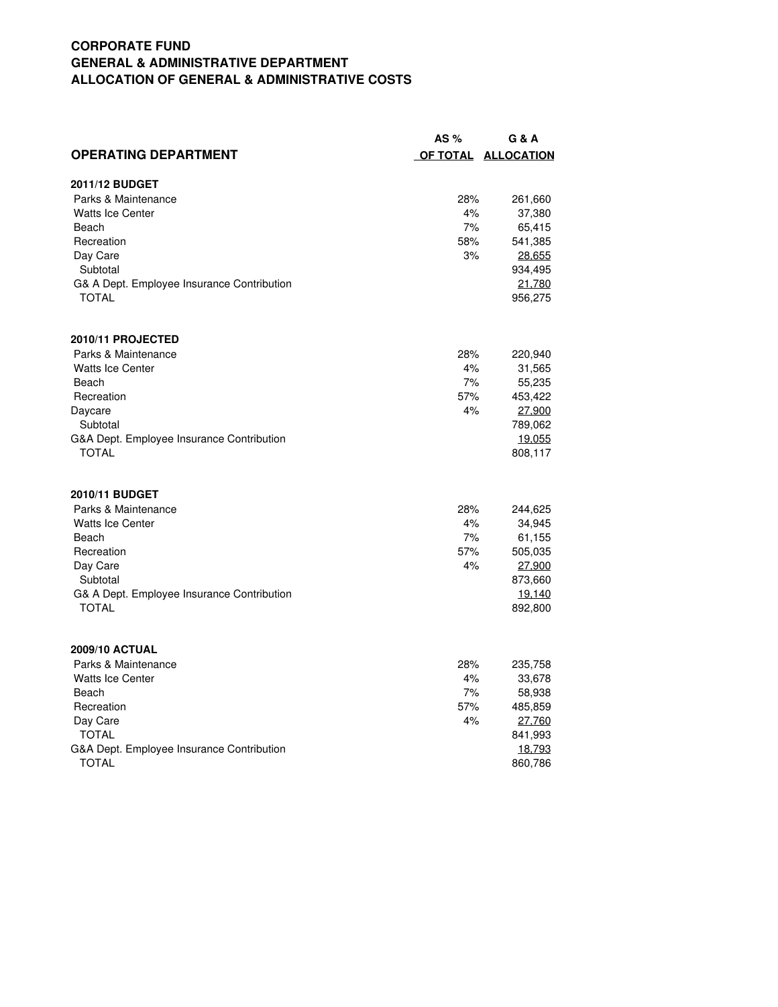# **CORPORATE FUND GENERAL & ADMINISTRATIVE DEPARTMENT ALLOCATION OF GENERAL & ADMINISTRATIVE COSTS**

|                                            | AS $%$ | G & A               |
|--------------------------------------------|--------|---------------------|
| <b>OPERATING DEPARTMENT</b>                |        | OF TOTAL ALLOCATION |
| 2011/12 BUDGET                             |        |                     |
| Parks & Maintenance                        | 28%    | 261,660             |
| <b>Watts Ice Center</b>                    | 4%     | 37,380              |
| Beach                                      | 7%     | 65,415              |
| Recreation                                 | 58%    | 541,385             |
| Day Care                                   | 3%     | 28,655              |
| Subtotal                                   |        | 934,495             |
| G& A Dept. Employee Insurance Contribution |        | 21.780              |
| <b>TOTAL</b>                               |        | 956,275             |
| 2010/11 PROJECTED                          |        |                     |
| Parks & Maintenance                        | 28%    | 220,940             |
| <b>Watts Ice Center</b>                    | 4%     | 31,565              |
| Beach                                      | 7%     | 55,235              |
| Recreation                                 | 57%    | 453,422             |
| Daycare                                    | 4%     | 27,900              |
| Subtotal                                   |        | 789,062             |
| G&A Dept. Employee Insurance Contribution  |        | <u>19,055</u>       |
| <b>TOTAL</b>                               |        | 808,117             |
| 2010/11 BUDGET                             |        |                     |
| Parks & Maintenance                        | 28%    | 244,625             |
| <b>Watts Ice Center</b>                    | 4%     | 34,945              |
| Beach                                      | 7%     | 61,155              |
| Recreation                                 | 57%    | 505,035             |
| Day Care                                   | 4%     | 27.900              |
| Subtotal                                   |        | 873,660             |
| G& A Dept. Employee Insurance Contribution |        | <u> 19,140</u>      |
| <b>TOTAL</b>                               |        | 892,800             |
| <b>2009/10 ACTUAL</b>                      |        |                     |
| Parks & Maintenance                        | 28%    | 235,758             |
| <b>Watts Ice Center</b>                    | 4%     | 33,678              |
| Beach                                      | 7%     | 58,938              |
| Recreation                                 | 57%    | 485,859             |
| Day Care                                   | 4%     | 27.760              |
| <b>TOTAL</b>                               |        | 841,993             |
| G&A Dept. Employee Insurance Contribution  |        | 18.793              |
| <b>TOTAL</b>                               |        | 860,786             |
|                                            |        |                     |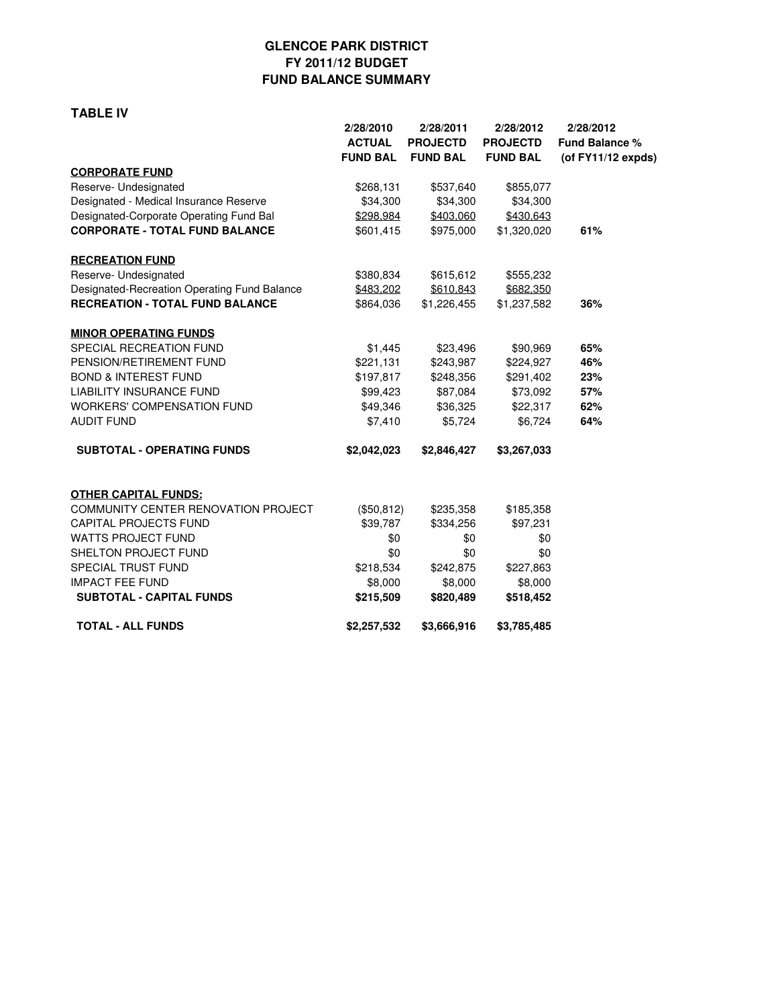## **GLENCOE PARK DISTRICT FY 2011/12 BUDGET FUND BALANCE SUMMARY**

#### **TABLE IV**

| 2/28/2010<br><b>ACTUAL</b> | 2/28/2011<br><b>PROJECTD</b>                        | 2/28/2012<br><b>PROJECTD</b>                                      | 2/28/2012<br>Fund Balance %<br>(of FY11/12 expds)                                                     |
|----------------------------|-----------------------------------------------------|-------------------------------------------------------------------|-------------------------------------------------------------------------------------------------------|
|                            |                                                     |                                                                   |                                                                                                       |
| \$268,131                  | \$537,640                                           | \$855,077                                                         |                                                                                                       |
| \$34,300                   | \$34,300                                            | \$34,300                                                          |                                                                                                       |
| \$298,984                  | \$403,060                                           | \$430,643                                                         |                                                                                                       |
| \$601,415                  | \$975,000                                           | \$1,320,020                                                       | 61%                                                                                                   |
|                            |                                                     |                                                                   |                                                                                                       |
| \$380,834                  | \$615,612                                           | \$555,232                                                         |                                                                                                       |
| \$483.202                  | \$610.843                                           | \$682,350                                                         |                                                                                                       |
| \$864,036                  | \$1,226,455                                         | \$1,237,582                                                       | 36%                                                                                                   |
|                            |                                                     |                                                                   |                                                                                                       |
| \$1,445                    | \$23,496                                            | \$90,969                                                          | 65%                                                                                                   |
| \$221,131                  |                                                     |                                                                   | 46%                                                                                                   |
|                            |                                                     |                                                                   | 23%                                                                                                   |
| \$99,423                   |                                                     |                                                                   | 57%                                                                                                   |
|                            |                                                     |                                                                   | 62%                                                                                                   |
|                            |                                                     |                                                                   | 64%                                                                                                   |
| \$2,042,023                | \$2,846,427                                         | \$3,267,033                                                       |                                                                                                       |
|                            |                                                     |                                                                   |                                                                                                       |
|                            | \$235,358                                           | \$185,358                                                         |                                                                                                       |
| \$39,787                   | \$334,256                                           | \$97,231                                                          |                                                                                                       |
| \$0                        | \$0                                                 | \$0                                                               |                                                                                                       |
| \$0                        | \$0                                                 | \$0                                                               |                                                                                                       |
| \$218,534                  | \$242,875                                           | \$227,863                                                         |                                                                                                       |
| \$8,000                    | \$8,000                                             | \$8,000                                                           |                                                                                                       |
| \$215,509                  | \$820,489                                           | \$518,452                                                         |                                                                                                       |
| \$2,257,532                | \$3,666,916                                         | \$3,785,485                                                       |                                                                                                       |
|                            | <b>FUND BAL</b><br>\$197,817<br>\$49,346<br>\$7,410 | <b>FUND BAL</b><br>\$248,356<br>\$36,325<br>\$5,724<br>(\$50,812) | <b>FUND BAL</b><br>\$243,987<br>\$224,927<br>\$291,402<br>\$87,084<br>\$73,092<br>\$22,317<br>\$6,724 |